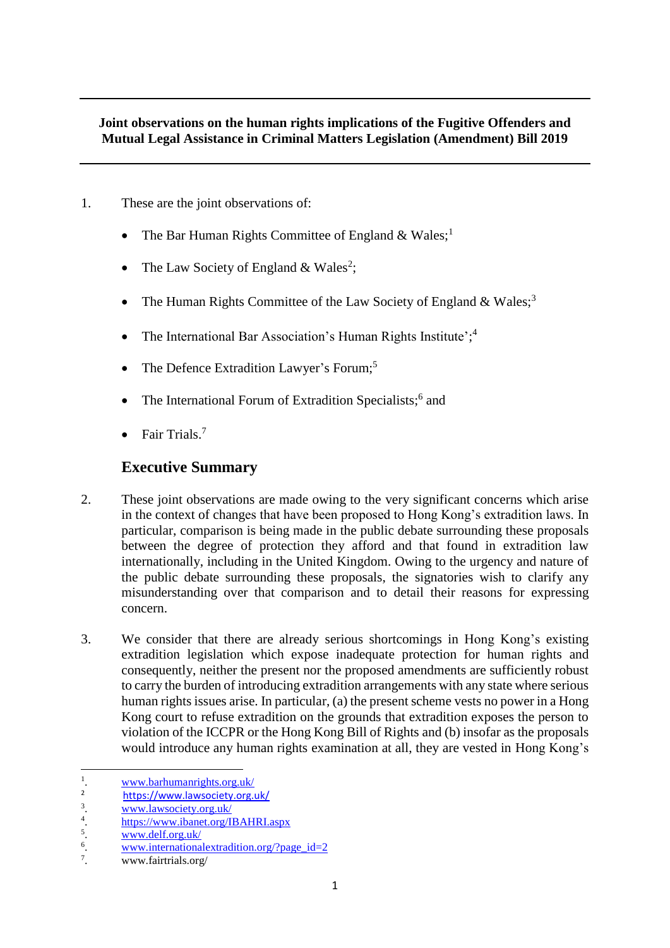#### **Joint observations on the human rights implications of the Fugitive Offenders and Mutual Legal Assistance in Criminal Matters Legislation (Amendment) Bill 2019**

- 1. These are the joint observations of:
	- The Bar Human Rights Committee of England  $& Wales;^1$
	- The Law Society of England & Wales<sup>2</sup>;
	- The Human Rights Committee of the Law Society of England  $& Wales;$ <sup>3</sup>
	- The International Bar Association's Human Rights Institute';<sup>4</sup>
	- The Defence Extradition Lawyer's Forum;<sup>5</sup>
	- The International Forum of Extradition Specialists;<sup>6</sup> and
	- Fair Trials.<sup>7</sup>

#### **Executive Summary**

- 2. These joint observations are made owing to the very significant concerns which arise in the context of changes that have been proposed to Hong Kong's extradition laws. In particular, comparison is being made in the public debate surrounding these proposals between the degree of protection they afford and that found in extradition law internationally, including in the United Kingdom. Owing to the urgency and nature of the public debate surrounding these proposals, the signatories wish to clarify any misunderstanding over that comparison and to detail their reasons for expressing concern.
- 3. We consider that there are already serious shortcomings in Hong Kong's existing extradition legislation which expose inadequate protection for human rights and consequently, neither the present nor the proposed amendments are sufficiently robust to carry the burden of introducing extradition arrangements with any state where serious human rights issues arise. In particular, (a) the present scheme vests no power in a Hong Kong court to refuse extradition on the grounds that extradition exposes the person to violation of the ICCPR or the Hong Kong Bill of Rights and (b) insofar as the proposals would introduce any human rights examination at all, they are vested in Hong Kong's

**.** 

<sup>1</sup> . [www.barhumanrights.org.uk/](file:///C:/Users/mark/Desktop/www.barhumanrights.org.uk/)

<sup>2</sup> <https://www.lawsociety.org.uk/>

<sup>3</sup> . [www.lawsociety.org.uk/](file:///C:/Users/mark/Desktop/www.lawsociety.org.uk/)

<sup>4</sup> . <https://www.ibanet.org/IBAHRI.aspx>

<sup>5</sup> . [www.delf.org.uk/](http://www.delf.org.uk/)

<sup>6</sup> . [www.internationalextradition.org/?page\\_id=2](http://www.internationalextradition.org/?page_id=2)

 $\overline{7}$ . . www.fairtrials.org/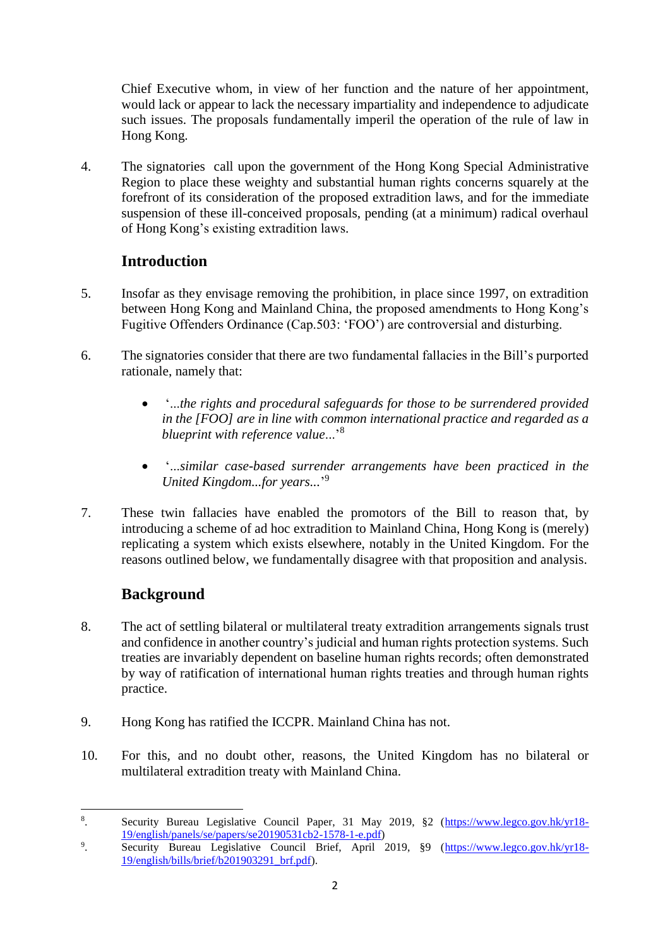Chief Executive whom, in view of her function and the nature of her appointment, would lack or appear to lack the necessary impartiality and independence to adjudicate such issues. The proposals fundamentally imperil the operation of the rule of law in Hong Kong.

4. The signatories call upon the government of the Hong Kong Special Administrative Region to place these weighty and substantial human rights concerns squarely at the forefront of its consideration of the proposed extradition laws, and for the immediate suspension of these ill-conceived proposals, pending (at a minimum) radical overhaul of Hong Kong's existing extradition laws.

## **Introduction**

- 5. Insofar as they envisage removing the prohibition, in place since 1997, on extradition between Hong Kong and Mainland China, the proposed amendments to Hong Kong's Fugitive Offenders Ordinance (Cap.503: 'FOO') are controversial and disturbing.
- 6. The signatories consider that there are two fundamental fallacies in the Bill's purported rationale, namely that:
	- '...*the rights and procedural safeguards for those to be surrendered provided in the [FOO] are in line with common international practice and regarded as a blueprint with reference value*...'<sup>8</sup>
	- '...*similar case-based surrender arrangements have been practiced in the United Kingdom...for years...*' 9
- 7. These twin fallacies have enabled the promotors of the Bill to reason that, by introducing a scheme of ad hoc extradition to Mainland China, Hong Kong is (merely) replicating a system which exists elsewhere, notably in the United Kingdom. For the reasons outlined below, we fundamentally disagree with that proposition and analysis.

## **Background**

- 8. The act of settling bilateral or multilateral treaty extradition arrangements signals trust and confidence in another country's judicial and human rights protection systems. Such treaties are invariably dependent on baseline human rights records; often demonstrated by way of ratification of international human rights treaties and through human rights practice.
- 9. Hong Kong has ratified the ICCPR. Mainland China has not.
- 10. For this, and no doubt other, reasons, the United Kingdom has no bilateral or multilateral extradition treaty with Mainland China.

**<sup>.</sup>** 8 Security Bureau Legislative Council Paper, 31 May 2019, §2 [\(https://www.legco.gov.hk/yr18-](https://www.legco.gov.hk/yr18-19/english/panels/se/papers/se20190531cb2-1578-1-e.pdf) [19/english/panels/se/papers/se20190531cb2-1578-1-e.pdf\)](https://www.legco.gov.hk/yr18-19/english/panels/se/papers/se20190531cb2-1578-1-e.pdf)

<sup>9</sup> Security Bureau Legislative Council Brief, April 2019, §9 [\(https://www.legco.gov.hk/yr18-](https://www.legco.gov.hk/yr18-19/english/bills/brief/b201903291_brf.pdf) [19/english/bills/brief/b201903291\\_brf.pdf\)](https://www.legco.gov.hk/yr18-19/english/bills/brief/b201903291_brf.pdf).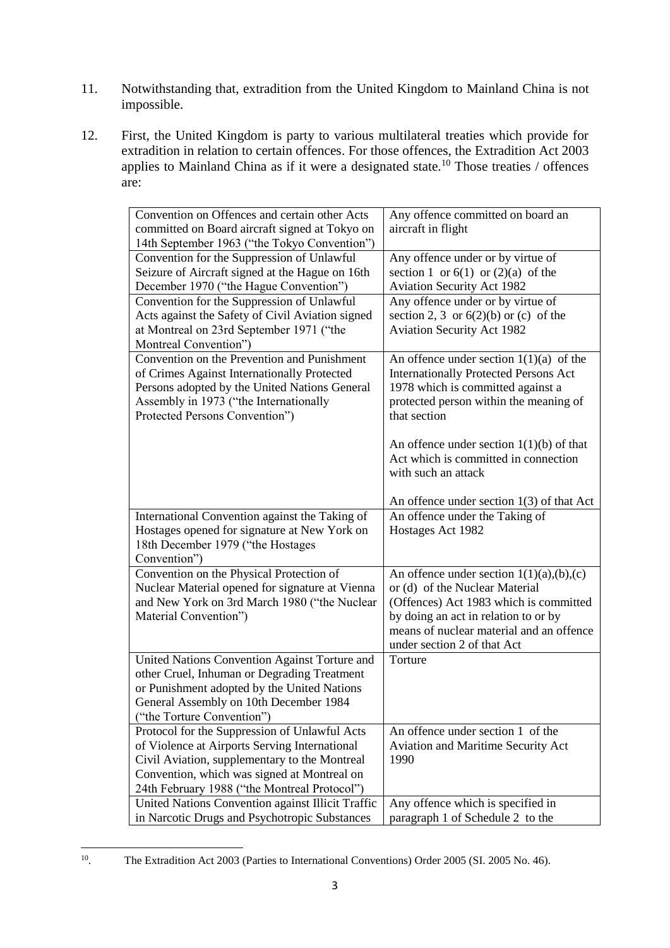- 11. Notwithstanding that, extradition from the United Kingdom to Mainland China is not impossible.
- 12. First, the United Kingdom is party to various multilateral treaties which provide for extradition in relation to certain offences. For those offences, the Extradition Act 2003 applies to Mainland China as if it were a designated state.<sup>10</sup> Those treaties / offences are:

| Convention on Offences and certain other Acts<br>committed on Board aircraft signed at Tokyo on | Any offence committed on board an<br>aircraft in flight |
|-------------------------------------------------------------------------------------------------|---------------------------------------------------------|
| 14th September 1963 ("the Tokyo Convention")                                                    |                                                         |
| Convention for the Suppression of Unlawful                                                      | Any offence under or by virtue of                       |
| Seizure of Aircraft signed at the Hague on 16th                                                 | section 1 or $6(1)$ or $(2)(a)$ of the                  |
| December 1970 ("the Hague Convention")                                                          | <b>Aviation Security Act 1982</b>                       |
| Convention for the Suppression of Unlawful                                                      | Any offence under or by virtue of                       |
| Acts against the Safety of Civil Aviation signed                                                | section 2, 3 or $6(2)(b)$ or (c) of the                 |
| at Montreal on 23rd September 1971 ("the                                                        | <b>Aviation Security Act 1982</b>                       |
| Montreal Convention")                                                                           |                                                         |
| Convention on the Prevention and Punishment                                                     | An offence under section $1(1)(a)$ of the               |
| of Crimes Against Internationally Protected                                                     | <b>Internationally Protected Persons Act</b>            |
| Persons adopted by the United Nations General                                                   | 1978 which is committed against a                       |
| Assembly in 1973 ("the Internationally                                                          | protected person within the meaning of                  |
| Protected Persons Convention")                                                                  | that section                                            |
|                                                                                                 |                                                         |
|                                                                                                 | An offence under section $1(1)(b)$ of that              |
|                                                                                                 | Act which is committed in connection                    |
|                                                                                                 | with such an attack                                     |
|                                                                                                 | An offence under section $1(3)$ of that Act             |
| International Convention against the Taking of                                                  | An offence under the Taking of                          |
| Hostages opened for signature at New York on                                                    | Hostages Act 1982                                       |
| 18th December 1979 ("the Hostages                                                               |                                                         |
| Convention")                                                                                    |                                                         |
| Convention on the Physical Protection of                                                        | An offence under section $1(1)(a),(b),(c)$              |
| Nuclear Material opened for signature at Vienna                                                 | or (d) of the Nuclear Material                          |
| and New York on 3rd March 1980 ("the Nuclear                                                    | (Offences) Act 1983 which is committed                  |
| Material Convention")                                                                           | by doing an act in relation to or by                    |
|                                                                                                 | means of nuclear material and an offence                |
|                                                                                                 | under section 2 of that Act                             |
| United Nations Convention Against Torture and                                                   | Torture                                                 |
| other Cruel, Inhuman or Degrading Treatment                                                     |                                                         |
| or Punishment adopted by the United Nations                                                     |                                                         |
| General Assembly on 10th December 1984                                                          |                                                         |
| ("the Torture Convention")                                                                      |                                                         |
| Protocol for the Suppression of Unlawful Acts                                                   | An offence under section 1 of the                       |
| of Violence at Airports Serving International                                                   | Aviation and Maritime Security Act                      |
| Civil Aviation, supplementary to the Montreal                                                   | 1990                                                    |
| Convention, which was signed at Montreal on                                                     |                                                         |
| 24th February 1988 ("the Montreal Protocol")                                                    |                                                         |
| United Nations Convention against Illicit Traffic                                               | Any offence which is specified in                       |
| in Narcotic Drugs and Psychotropic Substances                                                   | paragraph 1 of Schedule 2 to the                        |

 $\frac{1}{10}$ . The Extradition Act 2003 (Parties to International Conventions) Order 2005 (SI. 2005 No. 46).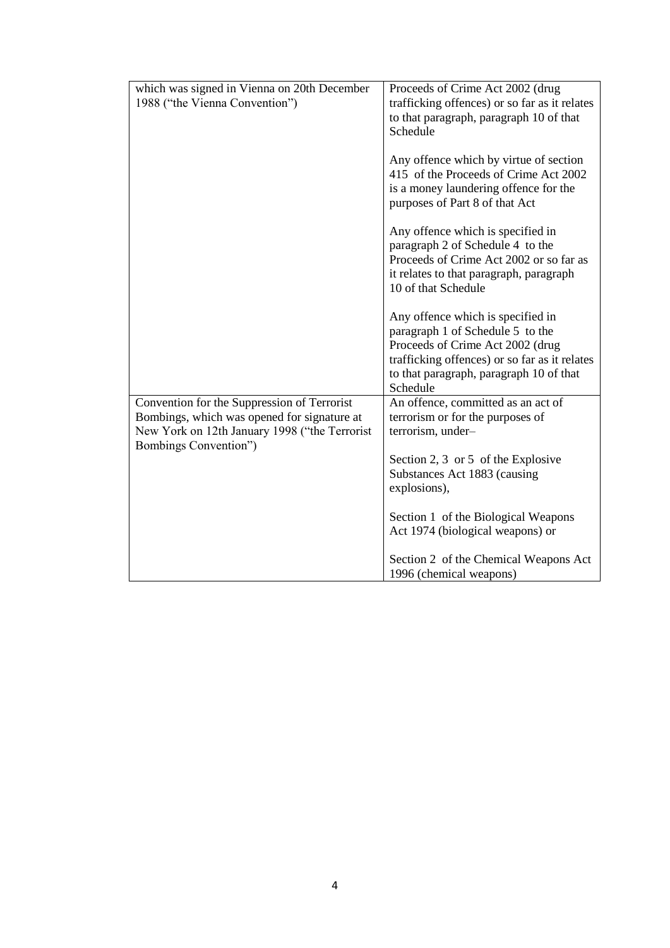| which was signed in Vienna on 20th December   | Proceeds of Crime Act 2002 (drug                                                                                         |
|-----------------------------------------------|--------------------------------------------------------------------------------------------------------------------------|
|                                               |                                                                                                                          |
| 1988 ("the Vienna Convention")                | trafficking offences) or so far as it relates                                                                            |
|                                               | to that paragraph, paragraph 10 of that                                                                                  |
|                                               | Schedule                                                                                                                 |
|                                               |                                                                                                                          |
|                                               | Any offence which by virtue of section<br>415 of the Proceeds of Crime Act 2002<br>is a money laundering offence for the |
|                                               | purposes of Part 8 of that Act                                                                                           |
|                                               | Any offence which is specified in<br>paragraph 2 of Schedule 4 to the<br>Proceeds of Crime Act 2002 or so far as         |
|                                               | it relates to that paragraph, paragraph<br>10 of that Schedule                                                           |
|                                               | Any offence which is specified in                                                                                        |
|                                               |                                                                                                                          |
|                                               | paragraph 1 of Schedule 5 to the                                                                                         |
|                                               | Proceeds of Crime Act 2002 (drug                                                                                         |
|                                               | trafficking offences) or so far as it relates                                                                            |
|                                               | to that paragraph, paragraph 10 of that                                                                                  |
|                                               | Schedule                                                                                                                 |
| Convention for the Suppression of Terrorist   | An offence, committed as an act of                                                                                       |
| Bombings, which was opened for signature at   | terrorism or for the purposes of                                                                                         |
| New York on 12th January 1998 ("the Terrorist | terrorism, under-                                                                                                        |
| Bombings Convention")                         |                                                                                                                          |
|                                               |                                                                                                                          |
|                                               | Section 2, 3 or 5 of the Explosive                                                                                       |
|                                               | Substances Act 1883 (causing                                                                                             |
|                                               | explosions),                                                                                                             |
|                                               |                                                                                                                          |
|                                               | Section 1 of the Biological Weapons                                                                                      |
|                                               | Act 1974 (biological weapons) or                                                                                         |
|                                               |                                                                                                                          |
|                                               | Section 2 of the Chemical Weapons Act                                                                                    |
|                                               | 1996 (chemical weapons)                                                                                                  |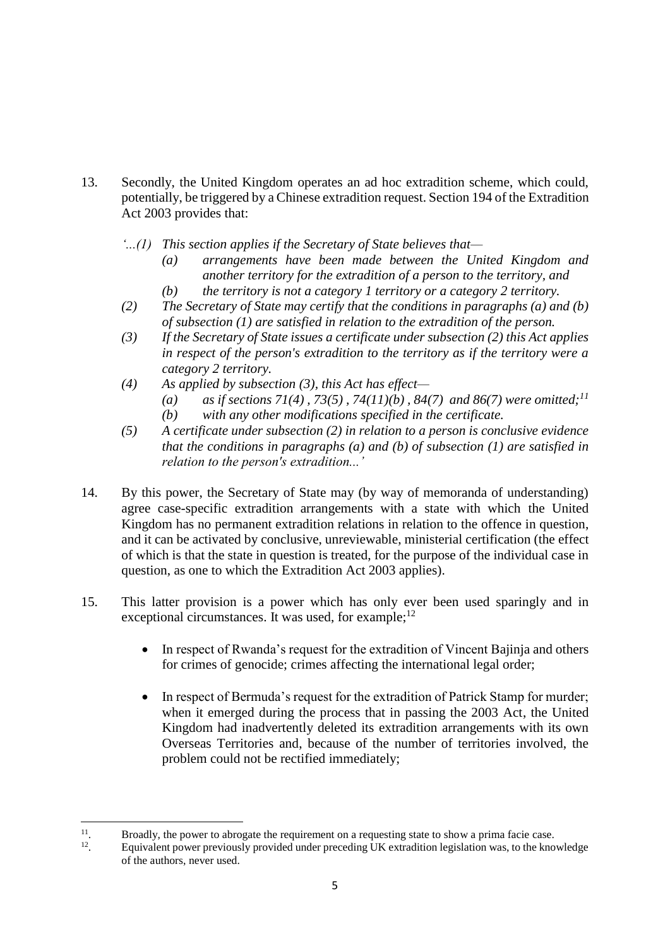- 13. Secondly, the United Kingdom operates an ad hoc extradition scheme, which could, potentially, be triggered by a Chinese extradition request. Section 194 of the Extradition Act 2003 provides that:
	- *'...(1) This section applies if the Secretary of State believes that—*
		- *(a) arrangements have been made between the United Kingdom and another territory for the extradition of a person to the territory, and*
		- *(b) the territory is not a category 1 territory or a category 2 territory.*
	- *(2) The Secretary of State may certify that the conditions in paragraphs (a) and (b) of subsection (1) are satisfied in relation to the extradition of the person.*
	- *(3) If the Secretary of State issues a certificate under subsection (2) this Act applies in respect of the person's extradition to the territory as if the territory were a category 2 territory.*
	- *(4) As applied by subsection (3), this Act has effect—*
		- *(a) as if sections 71(4) , 73(5) , 74(11)(b) , 84(7) and 86(7) were omitted;<sup>11</sup> (b) with any other modifications specified in the certificate.*
	- *(5) A certificate under subsection (2) in relation to a person is conclusive evidence that the conditions in paragraphs (a) and (b) of subsection (1) are satisfied in relation to the person's extradition...'*
- 14. By this power, the Secretary of State may (by way of memoranda of understanding) agree case-specific extradition arrangements with a state with which the United Kingdom has no permanent extradition relations in relation to the offence in question, and it can be activated by conclusive, unreviewable, ministerial certification (the effect of which is that the state in question is treated, for the purpose of the individual case in question, as one to which the Extradition Act 2003 applies).
- 15. This latter provision is a power which has only ever been used sparingly and in exceptional circumstances. It was used, for example;<sup>12</sup>
	- In respect of Rwanda's request for the extradition of Vincent Bajinja and others for crimes of genocide; crimes affecting the international legal order;
	- In respect of Bermuda's request for the extradition of Patrick Stamp for murder; when it emerged during the process that in passing the 2003 Act, the United Kingdom had inadvertently deleted its extradition arrangements with its own Overseas Territories and, because of the number of territories involved, the problem could not be rectified immediately;

 $\frac{1}{11}$ . Broadly, the power to abrogate the requirement on a requesting state to show a prima facie case.

<sup>12</sup> . Equivalent power previously provided under preceding UK extradition legislation was, to the knowledge of the authors, never used.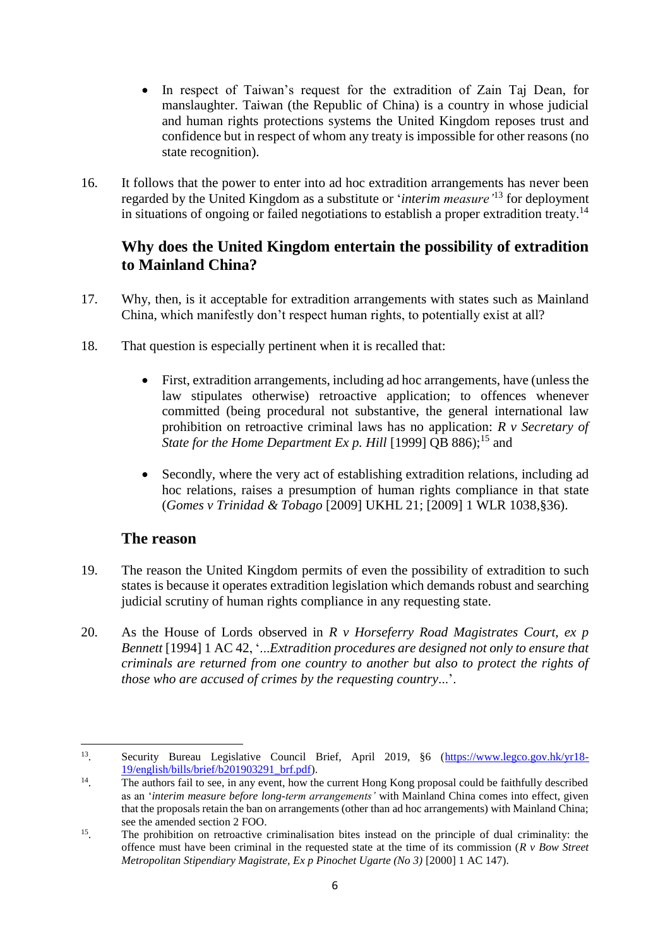- In respect of Taiwan's request for the extradition of Zain Taj Dean, for manslaughter. Taiwan (the Republic of China) is a country in whose judicial and human rights protections systems the United Kingdom reposes trust and confidence but in respect of whom any treaty is impossible for other reasons (no state recognition).
- 16. It follows that the power to enter into ad hoc extradition arrangements has never been regarded by the United Kingdom as a substitute or '*interim measure'*<sup>13</sup> for deployment in situations of ongoing or failed negotiations to establish a proper extradition treaty.<sup>14</sup>

## **Why does the United Kingdom entertain the possibility of extradition to Mainland China?**

- 17. Why, then, is it acceptable for extradition arrangements with states such as Mainland China, which manifestly don't respect human rights, to potentially exist at all?
- 18. That question is especially pertinent when it is recalled that:
	- First, extradition arrangements, including ad hoc arrangements, have (unless the law stipulates otherwise) retroactive application; to offences whenever committed (being procedural not substantive, the general international law prohibition on retroactive criminal laws has no application: *R v Secretary of*  State for the Home Department Ex p. Hill [1999] QB 886);<sup>15</sup> and
	- Secondly, where the very act of establishing extradition relations, including ad hoc relations, raises a presumption of human rights compliance in that state (*Gomes v Trinidad & Tobago* [2009] UKHL 21; [2009] 1 WLR 1038,§36).

### **The reason**

- 19. The reason the United Kingdom permits of even the possibility of extradition to such states is because it operates extradition legislation which demands robust and searching judicial scrutiny of human rights compliance in any requesting state.
- 20. As the House of Lords observed in *R v Horseferry Road Magistrates Court, ex p Bennett* [1994] 1 AC 42, '...*Extradition procedures are designed not only to ensure that criminals are returned from one country to another but also to protect the rights of those who are accused of crimes by the requesting country*...'.

 $\overline{a}$ 13 Security Bureau Legislative Council Brief, April 2019, §6 [\(https://www.legco.gov.hk/yr18-](https://www.legco.gov.hk/yr18-19/english/bills/brief/b201903291_brf.pdf) [19/english/bills/brief/b201903291\\_brf.pdf\)](https://www.legco.gov.hk/yr18-19/english/bills/brief/b201903291_brf.pdf).

<sup>14</sup> . The authors fail to see, in any event, how the current Hong Kong proposal could be faithfully described as an '*interim measure before long-term arrangements'* with Mainland China comes into effect, given that the proposals retain the ban on arrangements (other than ad hoc arrangements) with Mainland China; see the amended section 2 FOO.

<sup>15</sup> . The prohibition on retroactive criminalisation bites instead on the principle of dual criminality: the offence must have been criminal in the requested state at the time of its commission (*R v Bow Street Metropolitan Stipendiary Magistrate, Ex p Pinochet Ugarte (No 3)* [2000] 1 AC 147).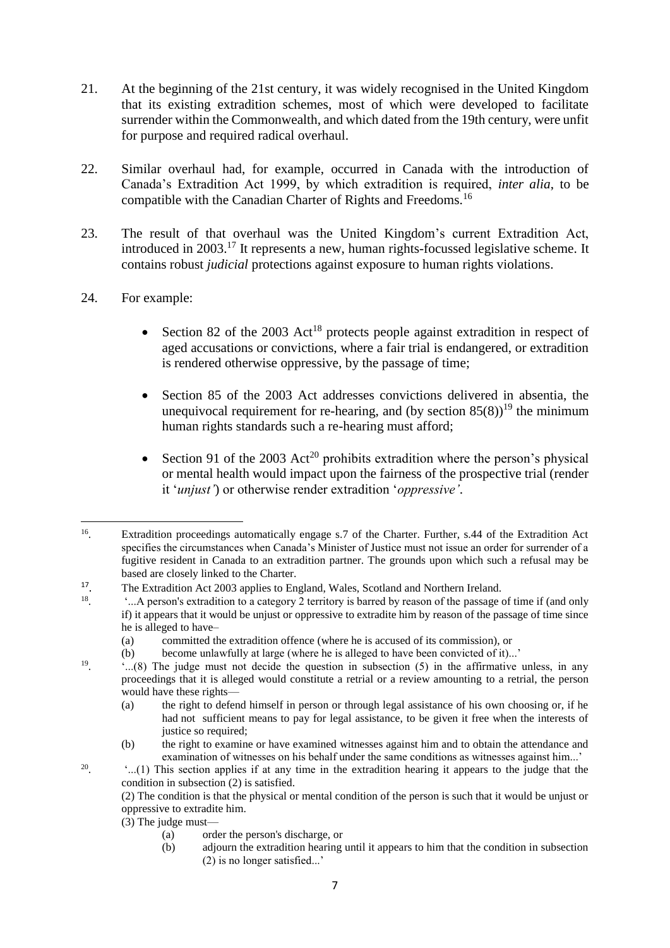- 21. At the beginning of the 21st century, it was widely recognised in the United Kingdom that its existing extradition schemes, most of which were developed to facilitate surrender within the Commonwealth, and which dated from the 19th century, were unfit for purpose and required radical overhaul.
- 22. Similar overhaul had, for example, occurred in Canada with the introduction of Canada's Extradition Act 1999, by which extradition is required, *inter alia*, to be compatible with the Canadian Charter of Rights and Freedoms.<sup>16</sup>
- 23. The result of that overhaul was the United Kingdom's current Extradition Act, introduced in 2003.<sup>17</sup> It represents a new, human rights-focussed legislative scheme. It contains robust *judicial* protections against exposure to human rights violations.
- 24. For example:
	- Section 82 of the 2003 Act<sup>18</sup> protects people against extradition in respect of aged accusations or convictions, where a fair trial is endangered, or extradition is rendered otherwise oppressive, by the passage of time;
	- Section 85 of the 2003 Act addresses convictions delivered in absentia, the unequivocal requirement for re-hearing, and (by section  $85(8)$ )<sup>19</sup> the minimum human rights standards such a re-hearing must afford;
	- Section 91 of the 2003 Act<sup>20</sup> prohibits extradition where the person's physical or mental health would impact upon the fairness of the prospective trial (render it '*unjust'*) or otherwise render extradition '*oppressive'*.

(3) The judge must—

20

- (a) order the person's discharge, or
- (b) adjourn the extradition hearing until it appears to him that the condition in subsection (2) is no longer satisfied...'

 $\overline{a}$ 16 . Extradition proceedings automatically engage s.7 of the Charter. Further, s.44 of the Extradition Act specifies the circumstances when Canada's Minister of Justice must not issue an order for surrender of a fugitive resident in Canada to an extradition partner. The grounds upon which such a refusal may be based are closely linked to the Charter.

<sup>17</sup> . The Extradition Act 2003 applies to England, Wales, Scotland and Northern Ireland.

<sup>18</sup> . '...A person's extradition to a category 2 territory is barred by reason of the passage of time if (and only if) it appears that it would be unjust or oppressive to extradite him by reason of the passage of time since he is alleged to have–

<sup>(</sup>a) committed the extradition offence (where he is accused of its commission), or

<sup>(</sup>b) become unlawfully at large (where he is alleged to have been convicted of it)...'

<sup>19</sup> . '...(8) The judge must not decide the question in subsection (5) in the affirmative unless, in any proceedings that it is alleged would constitute a retrial or a review amounting to a retrial, the person would have these rights—

<sup>(</sup>a) the right to defend himself in person or through legal assistance of his own choosing or, if he had not sufficient means to pay for legal assistance, to be given it free when the interests of justice so required;

<sup>(</sup>b) the right to examine or have examined witnesses against him and to obtain the attendance and examination of witnesses on his behalf under the same conditions as witnesses against him...'

<sup>.</sup> '...(1) This section applies if at any time in the extradition hearing it appears to the judge that the condition in subsection (2) is satisfied.

<sup>(2)</sup> The condition is that the physical or mental condition of the person is such that it would be unjust or oppressive to extradite him.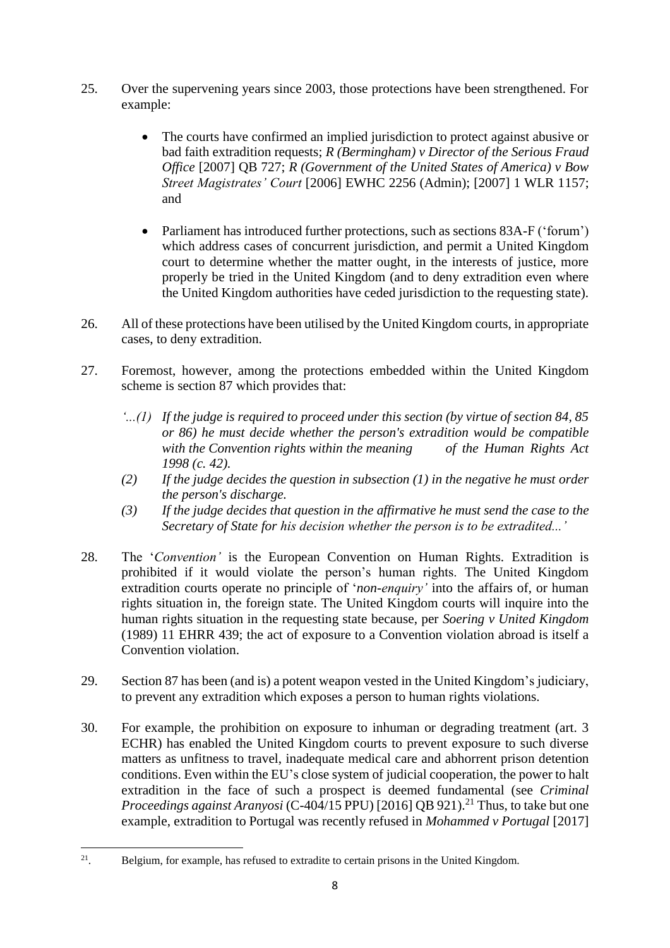- 25. Over the supervening years since 2003, those protections have been strengthened. For example:
	- The courts have confirmed an implied jurisdiction to protect against abusive or bad faith extradition requests; *R (Bermingham) v Director of the Serious Fraud Office* [2007] QB 727; *R (Government of the United States of America) v Bow Street Magistrates' Court* [2006] EWHC 2256 (Admin); [2007] 1 WLR 1157; and
	- Parliament has introduced further protections, such as sections 83A-F ('forum') which address cases of concurrent jurisdiction, and permit a United Kingdom court to determine whether the matter ought, in the interests of justice, more properly be tried in the United Kingdom (and to deny extradition even where the United Kingdom authorities have ceded jurisdiction to the requesting state).
- 26. All of these protections have been utilised by the United Kingdom courts, in appropriate cases, to deny extradition.
- 27. Foremost, however, among the protections embedded within the United Kingdom scheme is section 87 which provides that:
	- *'...(1) If the judge is required to proceed under this section (by virtue of section 84, 85 or 86) he must decide whether the person's extradition would be compatible with the Convention rights within the meaning of the Human Rights Act 1998 (c. 42).*
	- *(2) If the judge decides the question in subsection (1) in the negative he must order the person's discharge.*
	- *(3) If the judge decides that question in the affirmative he must send the case to the Secretary of State for his decision whether the person is to be extradited...'*
- 28. The '*Convention'* is the European Convention on Human Rights. Extradition is prohibited if it would violate the person's human rights. The United Kingdom extradition courts operate no principle of '*non-enquiry'* into the affairs of, or human rights situation in, the foreign state. The United Kingdom courts will inquire into the human rights situation in the requesting state because, per *Soering v United Kingdom* (1989) 11 EHRR 439; the act of exposure to a Convention violation abroad is itself a Convention violation.
- 29. Section 87 has been (and is) a potent weapon vested in the United Kingdom's judiciary, to prevent any extradition which exposes a person to human rights violations.
- 30. For example, the prohibition on exposure to inhuman or degrading treatment (art. 3 ECHR) has enabled the United Kingdom courts to prevent exposure to such diverse matters as unfitness to travel, inadequate medical care and abhorrent prison detention conditions. Even within the EU's close system of judicial cooperation, the power to halt extradition in the face of such a prospect is deemed fundamental (see *Criminal Proceedings against Aranyosi* (C-404/15 PPU) [2016] QB 921).<sup>21</sup> Thus, to take but one example, extradition to Portugal was recently refused in *Mohammed v Portugal* [2017]

 $\frac{1}{21}$ . Belgium, for example, has refused to extradite to certain prisons in the United Kingdom.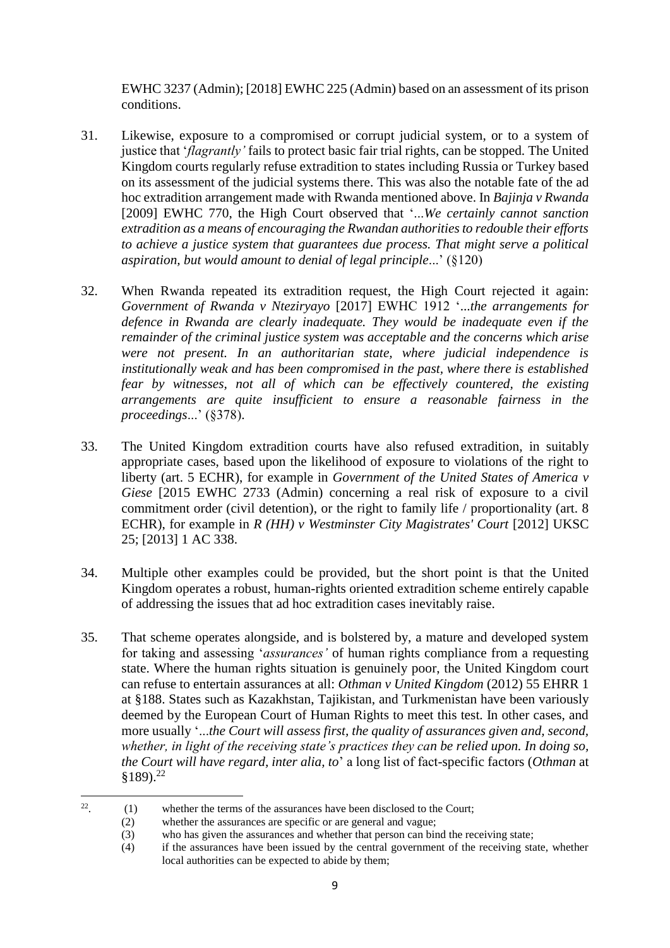EWHC 3237 (Admin); [2018] EWHC 225 (Admin) based on an assessment of its prison conditions.

- 31. Likewise, exposure to a compromised or corrupt judicial system, or to a system of justice that '*flagrantly'* fails to protect basic fair trial rights, can be stopped. The United Kingdom courts regularly refuse extradition to states including Russia or Turkey based on its assessment of the judicial systems there. This was also the notable fate of the ad hoc extradition arrangement made with Rwanda mentioned above. In *Bajinja v Rwanda* [2009] EWHC 770, the High Court observed that '...*We certainly cannot sanction extradition as a means of encouraging the Rwandan authorities to redouble their efforts to achieve a justice system that guarantees due process. That might serve a political aspiration, but would amount to denial of legal principle*...' (§120)
- 32. When Rwanda repeated its extradition request, the High Court rejected it again: *Government of Rwanda v Nteziryayo* [2017] EWHC 1912 '...*the arrangements for defence in Rwanda are clearly inadequate. They would be inadequate even if the remainder of the criminal justice system was acceptable and the concerns which arise were not present. In an authoritarian state, where judicial independence is institutionally weak and has been compromised in the past, where there is established fear by witnesses, not all of which can be effectively countered, the existing arrangements are quite insufficient to ensure a reasonable fairness in the proceedings*...' (§378).
- 33. The United Kingdom extradition courts have also refused extradition, in suitably appropriate cases, based upon the likelihood of exposure to violations of the right to liberty (art. 5 ECHR), for example in *Government of the United States of America v Giese* [2015 EWHC 2733 (Admin) concerning a real risk of exposure to a civil commitment order (civil detention), or the right to family life / proportionality (art. 8 ECHR), for example in *R (HH) v Westminster City Magistrates' Court* [2012] UKSC 25; [2013] 1 AC 338.
- 34. Multiple other examples could be provided, but the short point is that the United Kingdom operates a robust, human-rights oriented extradition scheme entirely capable of addressing the issues that ad hoc extradition cases inevitably raise.
- 35. That scheme operates alongside, and is bolstered by, a mature and developed system for taking and assessing '*assurances'* of human rights compliance from a requesting state. Where the human rights situation is genuinely poor, the United Kingdom court can refuse to entertain assurances at all: *Othman v United Kingdom* (2012) 55 EHRR 1 at §188. States such as Kazakhstan, Tajikistan, and Turkmenistan have been variously deemed by the European Court of Human Rights to meet this test. In other cases, and more usually '...*the Court will assess first, the quality of assurances given and, second, whether, in light of the receiving state's practices they can be relied upon. In doing so, the Court will have regard, inter alia, to*' a long list of fact-specific factors (*Othman* at §189). 22

 $\frac{1}{22}$ . (1) whether the terms of the assurances have been disclosed to the Court;

<sup>(2)</sup> whether the assurances are specific or are general and vague;

<sup>(3)</sup> who has given the assurances and whether that person can bind the receiving state;

<sup>(4)</sup> if the assurances have been issued by the central government of the receiving state, whether local authorities can be expected to abide by them;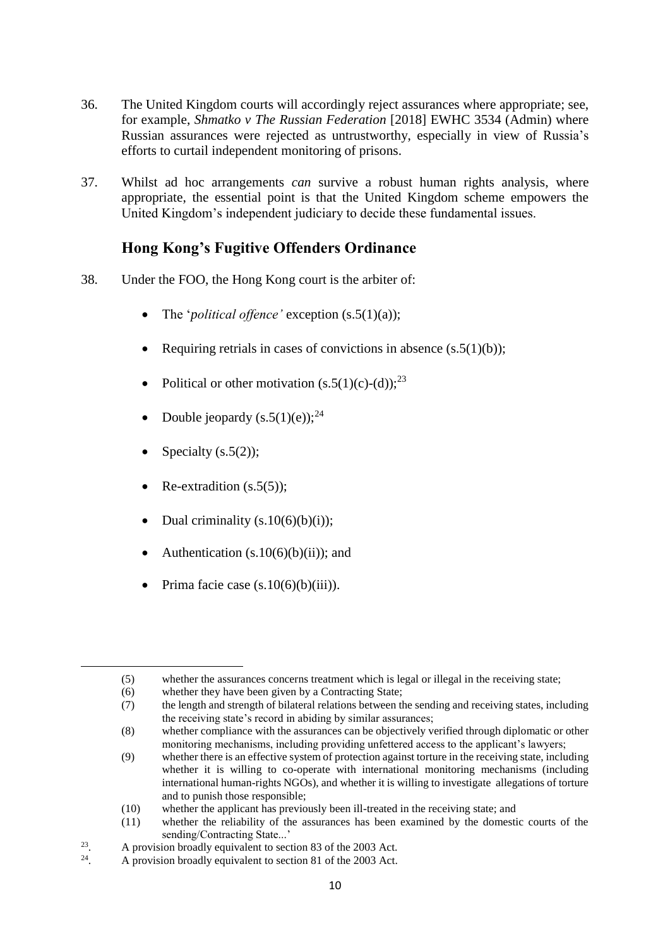- 36. The United Kingdom courts will accordingly reject assurances where appropriate; see, for example, *Shmatko v The Russian Federation* [2018] EWHC 3534 (Admin) where Russian assurances were rejected as untrustworthy, especially in view of Russia's efforts to curtail independent monitoring of prisons.
- 37. Whilst ad hoc arrangements *can* survive a robust human rights analysis, where appropriate, the essential point is that the United Kingdom scheme empowers the United Kingdom's independent judiciary to decide these fundamental issues.

# **Hong Kong's Fugitive Offenders Ordinance**

- 38. Under the FOO, the Hong Kong court is the arbiter of:
	- The '*political offence'* exception (s.5(1)(a));
	- Requiring retrials in cases of convictions in absence  $(s.5(1)(b))$ ;
	- Political or other motivation  $(s.5(1)(c)-(d))$ ;<sup>23</sup>
	- Double jeopardy  $(s.5(1)(e))$ ;<sup>24</sup>
	- Specialty (s.5(2));

1

- Re-extradition (s.5(5));
- Dual criminality  $(s.10(6)(b)(i))$ ;
- Authentication  $(s.10(6)(b)(ii))$ ; and
- Prima facie case  $(s.10(6)(b)(iii))$ .

<sup>(5)</sup> whether the assurances concerns treatment which is legal or illegal in the receiving state;

<sup>(6)</sup> whether they have been given by a Contracting State;

<sup>(7)</sup> the length and strength of bilateral relations between the sending and receiving states, including the receiving state's record in abiding by similar assurances;

<sup>(8)</sup> whether compliance with the assurances can be objectively verified through diplomatic or other monitoring mechanisms, including providing unfettered access to the applicant's lawyers;

<sup>(9)</sup> whether there is an effective system of protection against torture in the receiving state, including whether it is willing to co-operate with international monitoring mechanisms (including international human-rights NGOs), and whether it is willing to investigate allegations of torture and to punish those responsible;

<sup>(10)</sup> whether the applicant has previously been ill-treated in the receiving state; and

<sup>(11)</sup> whether the reliability of the assurances has been examined by the domestic courts of the sending/Contracting State...'

<sup>23</sup> . A provision broadly equivalent to section 83 of the 2003 Act.

<sup>24</sup> . A provision broadly equivalent to section 81 of the 2003 Act.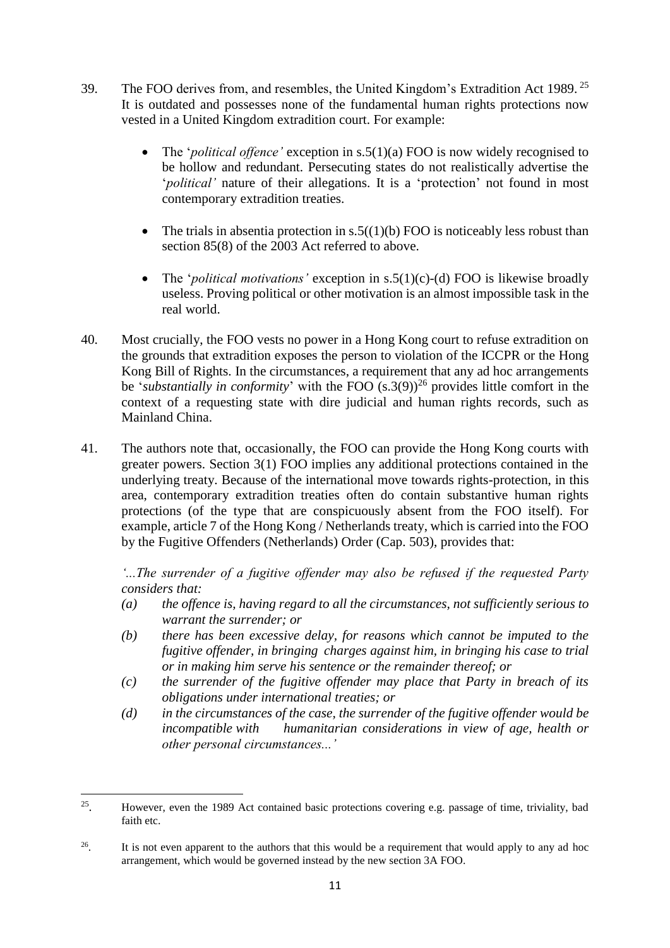- 39. The FOO derives from, and resembles, the United Kingdom's Extradition Act 1989. <sup>25</sup> It is outdated and possesses none of the fundamental human rights protections now vested in a United Kingdom extradition court. For example:
	- The '*political offence'* exception in s.5(1)(a) FOO is now widely recognised to be hollow and redundant. Persecuting states do not realistically advertise the '*political'* nature of their allegations. It is a 'protection' not found in most contemporary extradition treaties.
	- The trials in absentia protection in  $s.5((1)(b)$  FOO is noticeably less robust than section 85(8) of the 2003 Act referred to above.
	- The '*political motivations'* exception in s.5(1)(c)-(d) FOO is likewise broadly useless. Proving political or other motivation is an almost impossible task in the real world.
- 40. Most crucially, the FOO vests no power in a Hong Kong court to refuse extradition on the grounds that extradition exposes the person to violation of the ICCPR or the Hong Kong Bill of Rights. In the circumstances, a requirement that any ad hoc arrangements be '*substantially in conformity*' with the FOO  $(s.3(9))^{26}$  provides little comfort in the context of a requesting state with dire judicial and human rights records, such as Mainland China.
- 41. The authors note that, occasionally, the FOO can provide the Hong Kong courts with greater powers. Section 3(1) FOO implies any additional protections contained in the underlying treaty. Because of the international move towards rights-protection, in this area, contemporary extradition treaties often do contain substantive human rights protections (of the type that are conspicuously absent from the FOO itself). For example, article 7 of the Hong Kong / Netherlands treaty, which is carried into the FOO by the Fugitive Offenders (Netherlands) Order (Cap. 503), provides that:

*'...The surrender of a fugitive offender may also be refused if the requested Party considers that:*

- *(a) the offence is, having regard to all the circumstances, not sufficiently serious to warrant the surrender; or*
- *(b) there has been excessive delay, for reasons which cannot be imputed to the fugitive offender, in bringing charges against him, in bringing his case to trial or in making him serve his sentence or the remainder thereof; or*
- *(c) the surrender of the fugitive offender may place that Party in breach of its obligations under international treaties; or*
- *(d) in the circumstances of the case, the surrender of the fugitive offender would be incompatible with humanitarian considerations in view of age, health or other personal circumstances...'*

**.** 

<sup>25</sup> . However, even the 1989 Act contained basic protections covering e.g. passage of time, triviality, bad faith etc.

<sup>26</sup> . It is not even apparent to the authors that this would be a requirement that would apply to any ad hoc arrangement, which would be governed instead by the new section 3A FOO.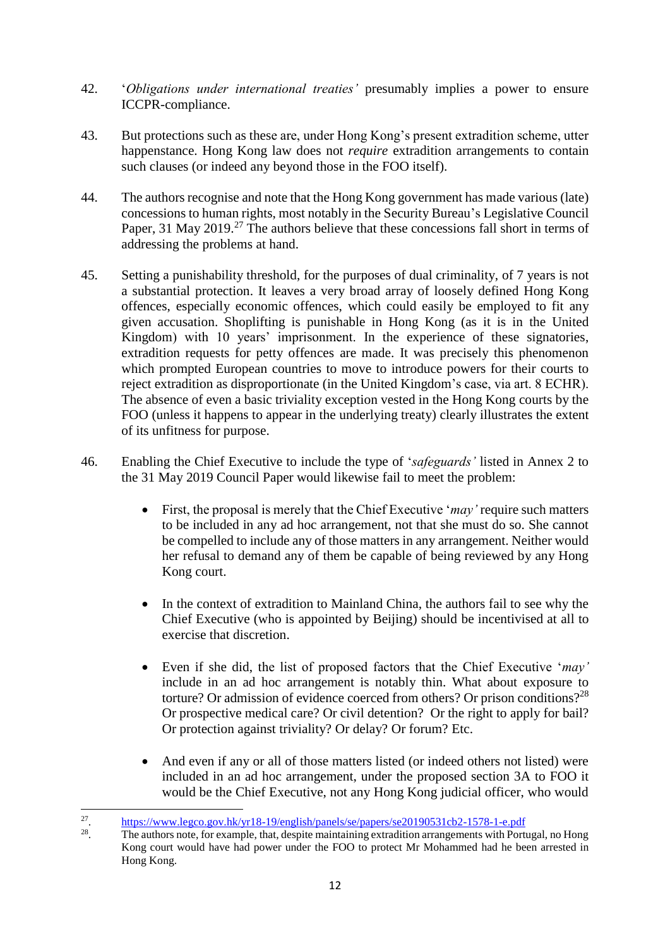- 42. '*Obligations under international treaties'* presumably implies a power to ensure ICCPR-compliance.
- 43. But protections such as these are, under Hong Kong's present extradition scheme, utter happenstance. Hong Kong law does not *require* extradition arrangements to contain such clauses (or indeed any beyond those in the FOO itself).
- 44. The authors recognise and note that the Hong Kong government has made various (late) concessions to human rights, most notably in the Security Bureau's Legislative Council Paper, 31 May 2019.<sup>27</sup> The authors believe that these concessions fall short in terms of addressing the problems at hand.
- 45. Setting a punishability threshold, for the purposes of dual criminality, of 7 years is not a substantial protection. It leaves a very broad array of loosely defined Hong Kong offences, especially economic offences, which could easily be employed to fit any given accusation. Shoplifting is punishable in Hong Kong (as it is in the United Kingdom) with 10 years' imprisonment. In the experience of these signatories, extradition requests for petty offences are made. It was precisely this phenomenon which prompted European countries to move to introduce powers for their courts to reject extradition as disproportionate (in the United Kingdom's case, via art. 8 ECHR). The absence of even a basic triviality exception vested in the Hong Kong courts by the FOO (unless it happens to appear in the underlying treaty) clearly illustrates the extent of its unfitness for purpose.
- 46. Enabling the Chief Executive to include the type of '*safeguards'* listed in Annex 2 to the 31 May 2019 Council Paper would likewise fail to meet the problem:
	- First, the proposal is merely that the Chief Executive '*may'* require such matters to be included in any ad hoc arrangement, not that she must do so. She cannot be compelled to include any of those matters in any arrangement. Neither would her refusal to demand any of them be capable of being reviewed by any Hong Kong court.
	- In the context of extradition to Mainland China, the authors fail to see why the Chief Executive (who is appointed by Beijing) should be incentivised at all to exercise that discretion.
	- Even if she did, the list of proposed factors that the Chief Executive '*may'* include in an ad hoc arrangement is notably thin. What about exposure to torture? Or admission of evidence coerced from others? Or prison conditions?<sup>28</sup> Or prospective medical care? Or civil detention? Or the right to apply for bail? Or protection against triviality? Or delay? Or forum? Etc.
	- And even if any or all of those matters listed (or indeed others not listed) were included in an ad hoc arrangement, under the proposed section 3A to FOO it would be the Chief Executive, not any Hong Kong judicial officer, who would

28 . The authors note, for example, that, despite maintaining extradition arrangements with Portugal, no Hong Kong court would have had power under the FOO to protect Mr Mohammed had he been arrested in Hong Kong.

 $\frac{1}{27}$ . <https://www.legco.gov.hk/yr18-19/english/panels/se/papers/se20190531cb2-1578-1-e.pdf>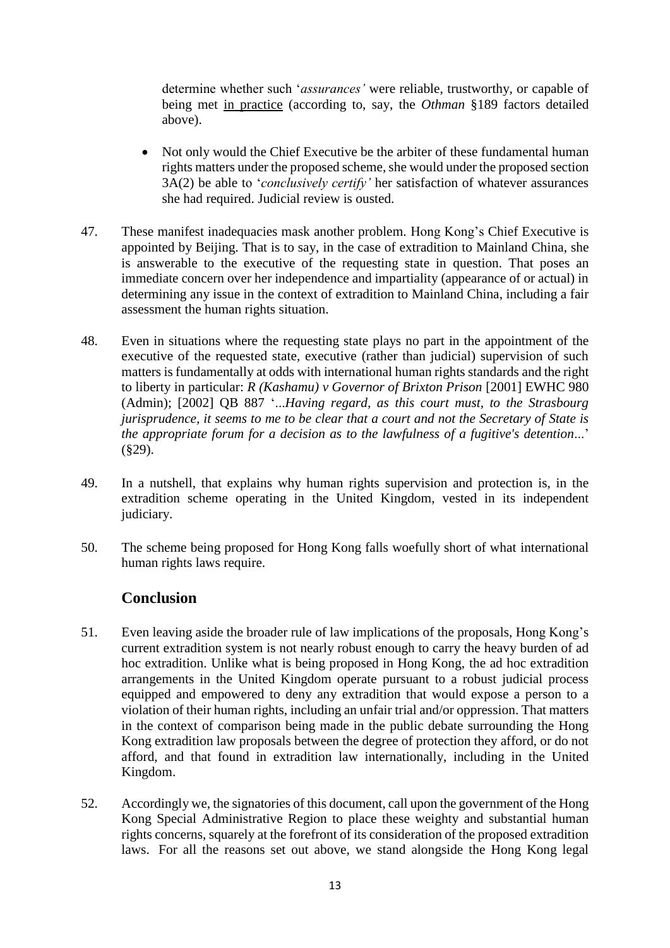determine whether such '*assurances'* were reliable, trustworthy, or capable of being met in practice (according to, say, the *Othman* §189 factors detailed above).

- Not only would the Chief Executive be the arbiter of these fundamental human rights matters under the proposed scheme, she would under the proposed section 3A(2) be able to '*conclusively certify'* her satisfaction of whatever assurances she had required. Judicial review is ousted.
- 47. These manifest inadequacies mask another problem. Hong Kong's Chief Executive is appointed by Beijing. That is to say, in the case of extradition to Mainland China, she is answerable to the executive of the requesting state in question. That poses an immediate concern over her independence and impartiality (appearance of or actual) in determining any issue in the context of extradition to Mainland China, including a fair assessment the human rights situation.
- 48. Even in situations where the requesting state plays no part in the appointment of the executive of the requested state, executive (rather than judicial) supervision of such matters is fundamentally at odds with international human rights standards and the right to liberty in particular: *R (Kashamu) v Governor of Brixton Prison* [2001] EWHC 980 (Admin); [2002] QB 887 '...*Having regard, as this court must, to the Strasbourg jurisprudence, it seems to me to be clear that a court and not the Secretary of State is the appropriate forum for a decision as to the lawfulness of a fugitive's detention*...' (§29).
- 49. In a nutshell, that explains why human rights supervision and protection is, in the extradition scheme operating in the United Kingdom, vested in its independent judiciary.
- 50. The scheme being proposed for Hong Kong falls woefully short of what international human rights laws require.

### **Conclusion**

- 51. Even leaving aside the broader rule of law implications of the proposals, Hong Kong's current extradition system is not nearly robust enough to carry the heavy burden of ad hoc extradition. Unlike what is being proposed in Hong Kong, the ad hoc extradition arrangements in the United Kingdom operate pursuant to a robust judicial process equipped and empowered to deny any extradition that would expose a person to a violation of their human rights, including an unfair trial and/or oppression. That matters in the context of comparison being made in the public debate surrounding the Hong Kong extradition law proposals between the degree of protection they afford, or do not afford, and that found in extradition law internationally, including in the United Kingdom.
- 52. Accordingly we, the signatories of this document, call upon the government of the Hong Kong Special Administrative Region to place these weighty and substantial human rights concerns, squarely at the forefront of its consideration of the proposed extradition laws. For all the reasons set out above, we stand alongside the Hong Kong legal